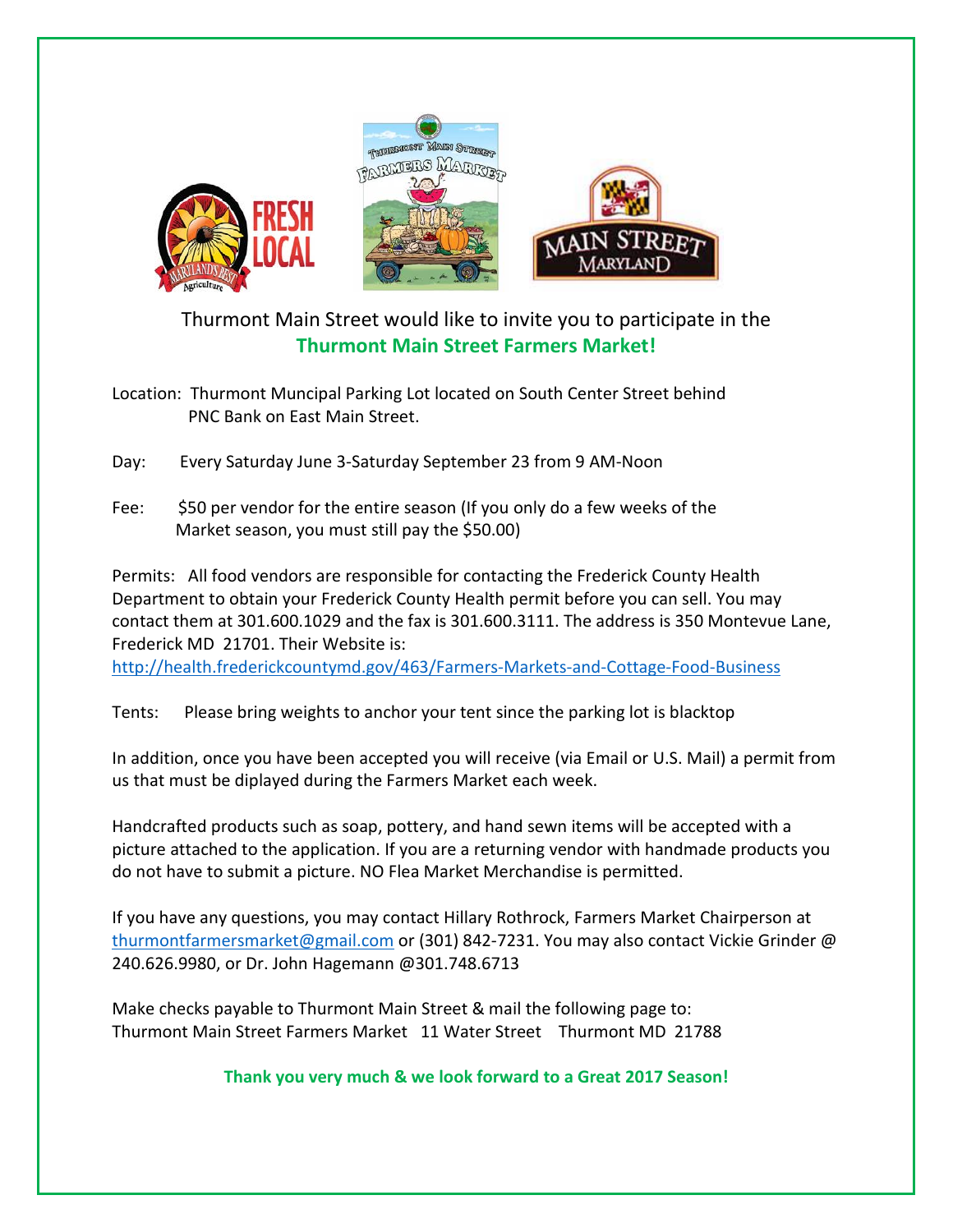

## Thurmont Main Street would like to invite you to participate in the **Thurmont Main Street Farmers Market!**

Location: Thurmont Muncipal Parking Lot located on South Center Street behind PNC Bank on East Main Street.

Day: Every Saturday June 3-Saturday September 23 from 9 AM-Noon

Fee: \$50 per vendor for the entire season (If you only do a few weeks of the Market season, you must still pay the \$50.00)

Permits: All food vendors are responsible for contacting the Frederick County Health Department to obtain your Frederick County Health permit before you can sell. You may contact them at 301.600.1029 and the fax is 301.600.3111. The address is 350 Montevue Lane, Frederick MD 21701. Their Website is:

<http://health.frederickcountymd.gov/463/Farmers-Markets-and-Cottage-Food-Business>

Tents: Please bring weights to anchor your tent since the parking lot is blacktop

In addition, once you have been accepted you will receive (via Email or U.S. Mail) a permit from us that must be diplayed during the Farmers Market each week.

Handcrafted products such as soap, pottery, and hand sewn items will be accepted with a picture attached to the application. If you are a returning vendor with handmade products you do not have to submit a picture. NO Flea Market Merchandise is permitted.

If you have any questions, you may contact Hillary Rothrock, Farmers Market Chairperson at [thurmontfarmersmarket@gmail.com](mailto:thurmontfarmersmarket@gmail.com) or (301) 842-7231. You may also contact Vickie Grinder @ 240.626.9980, or Dr. John Hagemann @301.748.6713

Make checks payable to Thurmont Main Street & mail the following page to: Thurmont Main Street Farmers Market 11 Water Street Thurmont MD 21788

**Thank you very much & we look forward to a Great 2017 Season!**